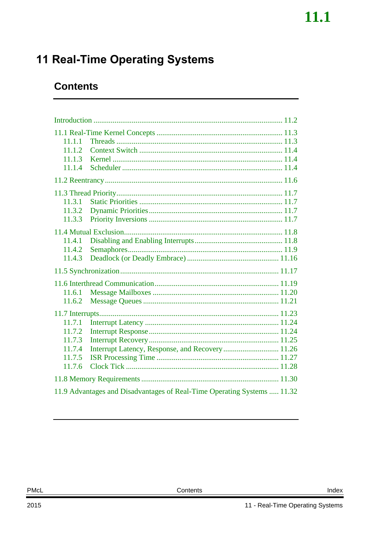## <span id="page-0-0"></span>**11 Real-Time Operating Systems**

## **Contents**

| 11.1.1<br>11.1.2<br>11.1.3<br>11.1.4                     |                                                                         |  |
|----------------------------------------------------------|-------------------------------------------------------------------------|--|
|                                                          |                                                                         |  |
| 11.3.1<br>11.3.2<br>11.3.3                               |                                                                         |  |
| 11.4.1<br>11.4.2<br>11.4.3                               |                                                                         |  |
|                                                          |                                                                         |  |
| 11.6.1<br>11.6.2                                         |                                                                         |  |
|                                                          |                                                                         |  |
| 11.7.1<br>11.7.2<br>11.7.3<br>11.7.4<br>11.7.5<br>11.7.6 |                                                                         |  |
|                                                          |                                                                         |  |
|                                                          | 11.9 Advantages and Disadvantages of Real-Time Operating Systems  11.32 |  |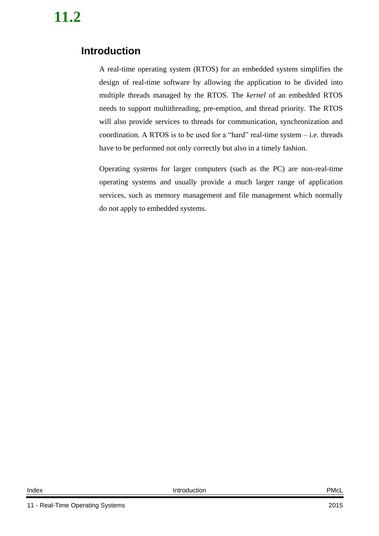## <span id="page-1-0"></span>**Introduction**

A real-time operating system (RTOS) for an embedded system simplifies the design of real-time software by allowing the application to be divided into multiple threads managed by the RTOS. The *kernel* of an embedded RTOS needs to support multithreading, pre-emption, and thread priority. The RTOS will also provide services to threads for communication, synchronization and coordination. A RTOS is to be used for a "hard" real-time system – i.e. threads have to be performed not only correctly but also in a timely fashion.

Operating systems for larger computers (such as the PC) are non-real-time operating systems and usually provide a much larger range of application services, such as memory management and file management which normally do not apply to embedded systems.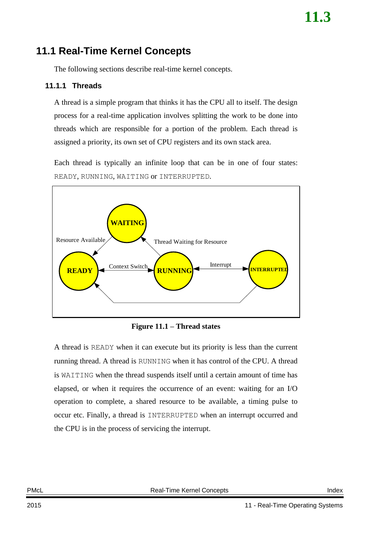## <span id="page-2-0"></span>**11.1 Real-Time Kernel Concepts**

The following sections describe real-time kernel concepts.

### <span id="page-2-1"></span>**11.1.1 Threads**

A thread is a simple program that thinks it has the CPU all to itself. The design process for a real-time application involves splitting the work to be done into threads which are responsible for a portion of the problem. Each thread is assigned a priority, its own set of CPU registers and its own stack area.

Each thread is typically an infinite loop that can be in one of four states: READY, RUNNING, WAITING or INTERRUPTED.



**Figure 11.1 – Thread states**

A thread is READY when it can execute but its priority is less than the current running thread. A thread is RUNNING when it has control of the CPU. A thread is WAITING when the thread suspends itself until a certain amount of time has elapsed, or when it requires the occurrence of an event: waiting for an I/O operation to complete, a shared resource to be available, a timing pulse to occur etc. Finally, a thread is INTERRUPTED when an interrupt occurred and the CPU is in the process of servicing the interrupt.

PMcL **Real-Time Kernel Concepts Index** Index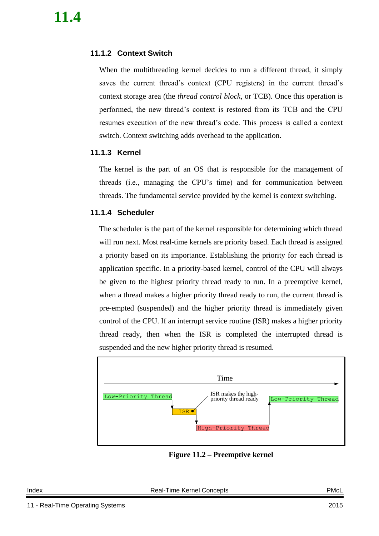### <span id="page-3-0"></span>**11.1.2 Context Switch**

When the multithreading kernel decides to run a different thread, it simply saves the current thread's context (CPU registers) in the current thread's context storage area (the *thread control block*, or TCB). Once this operation is performed, the new thread's context is restored from its TCB and the CPU resumes execution of the new thread's code. This process is called a context switch. Context switching adds overhead to the application.

### <span id="page-3-1"></span>**11.1.3 Kernel**

The kernel is the part of an OS that is responsible for the management of threads (i.e., managing the CPU's time) and for communication between threads. The fundamental service provided by the kernel is context switching.

### <span id="page-3-2"></span>**11.1.4 Scheduler**

The scheduler is the part of the kernel responsible for determining which thread will run next. Most real-time kernels are priority based. Each thread is assigned a priority based on its importance. Establishing the priority for each thread is application specific. In a priority-based kernel, control of the CPU will always be given to the highest priority thread ready to run. In a preemptive kernel, when a thread makes a higher priority thread ready to run, the current thread is pre-empted (suspended) and the higher priority thread is immediately given control of the CPU. If an interrupt service routine (ISR) makes a higher priority thread ready, then when the ISR is completed the interrupted thread is suspended and the new higher priority thread is resumed.



**Figure 11.2 – Preemptive kernel**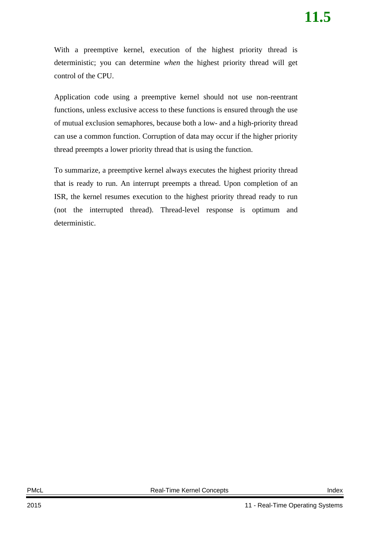With a preemptive kernel, execution of the highest priority thread is deterministic; you can determine *when* the highest priority thread will get control of the CPU.

Application code using a preemptive kernel should not use non-reentrant functions, unless exclusive access to these functions is ensured through the use of mutual exclusion semaphores, because both a low- and a high-priority thread can use a common function. Corruption of data may occur if the higher priority thread preempts a lower priority thread that is using the function.

To summarize, a preemptive kernel always executes the highest priority thread that is ready to run. An interrupt preempts a thread. Upon completion of an ISR, the kernel resumes execution to the highest priority thread ready to run (not the interrupted thread). Thread-level response is optimum and deterministic.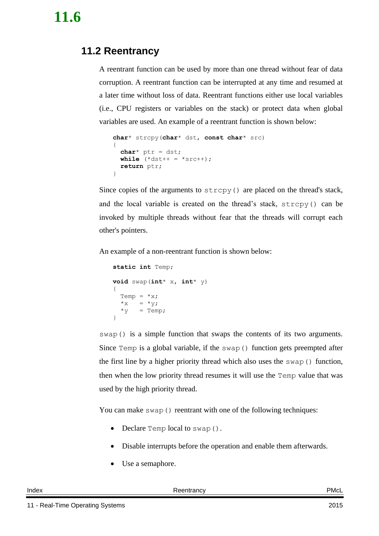## <span id="page-5-0"></span>**11.2 Reentrancy**

A reentrant function can be used by more than one thread without fear of data corruption. A reentrant function can be interrupted at any time and resumed at a later time without loss of data. Reentrant functions either use local variables (i.e., CPU registers or variables on the stack) or protect data when global variables are used. An example of a reentrant function is shown below:

```
char* strcpy(char* dst, const char* src)
{
  char^* ptr = dst;
  while (*dst++ = *src++);
   return ptr;
}
```
Since copies of the arguments to strcpy() are placed on the thread's stack, and the local variable is created on the thread's stack, strcpy() can be invoked by multiple threads without fear that the threads will corrupt each other's pointers.

An example of a non-reentrant function is shown below:

```
static int Temp;
void swap(int* x, int* y)
{
  Temp = *_{X};
  *_{X} = *_{V};
  *_{V} = Temp;
}
```
swap() is a simple function that swaps the contents of its two arguments. Since Temp is a global variable, if the swap() function gets preempted after the first line by a higher priority thread which also uses the swap() function, then when the low priority thread resumes it will use the Temp value that was used by the high priority thread.

You can make swap() reentrant with one of the following techniques:

- Declare Temp local to swap().
- Disable interrupts before the operation and enable them afterwards.
- Use a semaphore.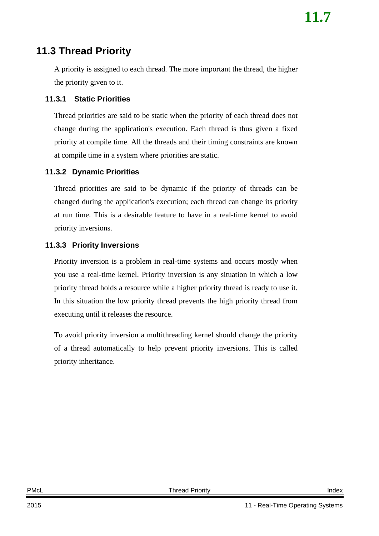### <span id="page-6-0"></span>**11.3 Thread Priority**

A priority is assigned to each thread. The more important the thread, the higher the priority given to it.

### <span id="page-6-1"></span>**11.3.1 Static Priorities**

Thread priorities are said to be static when the priority of each thread does not change during the application's execution. Each thread is thus given a fixed priority at compile time. All the threads and their timing constraints are known at compile time in a system where priorities are static.

### <span id="page-6-2"></span>**11.3.2 Dynamic Priorities**

Thread priorities are said to be dynamic if the priority of threads can be changed during the application's execution; each thread can change its priority at run time. This is a desirable feature to have in a real-time kernel to avoid priority inversions.

### <span id="page-6-3"></span>**11.3.3 Priority Inversions**

Priority inversion is a problem in real-time systems and occurs mostly when you use a real-time kernel. Priority inversion is any situation in which a low priority thread holds a resource while a higher priority thread is ready to use it. In this situation the low priority thread prevents the high priority thread from executing until it releases the resource.

To avoid priority inversion a multithreading kernel should change the priority of a thread automatically to help prevent priority inversions. This is called priority inheritance.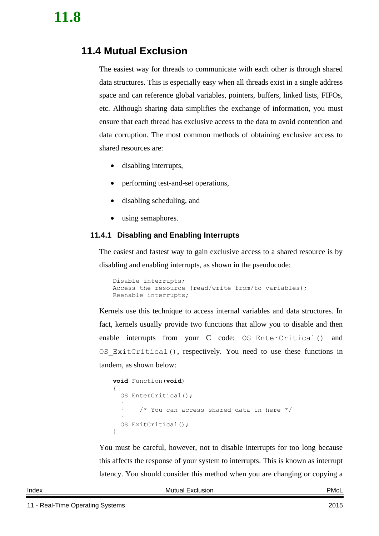## <span id="page-7-0"></span>**11.4 Mutual Exclusion**

The easiest way for threads to communicate with each other is through shared data structures. This is especially easy when all threads exist in a single address space and can reference global variables, pointers, buffers, linked lists, FIFOs, etc. Although sharing data simplifies the exchange of information, you must ensure that each thread has exclusive access to the data to avoid contention and data corruption. The most common methods of obtaining exclusive access to shared resources are:

- disabling interrupts,
- performing test-and-set operations,
- disabling scheduling, and
- using semaphores.

### <span id="page-7-1"></span>**11.4.1 Disabling and Enabling Interrupts**

The easiest and fastest way to gain exclusive access to a shared resource is by disabling and enabling interrupts, as shown in the pseudocode:

```
Disable interrupts;
Access the resource (read/write from/to variables);
Reenable interrupts;
```
Kernels use this technique to access internal variables and data structures. In fact, kernels usually provide two functions that allow you to disable and then enable interrupts from your C code: OS EnterCritical() and OS  $ExitCritical()$ , respectively. You need to use these functions in tandem, as shown below:

```
void Function(void)
{
  OS EnterCritical();
 ·
       /* You can access shared data in here */ ·
  OS ExitCritical();
}
```
You must be careful, however, not to disable interrupts for too long because this affects the response of your system to interrupts. This is known as interrupt latency. You should consider this method when you are changing or copying a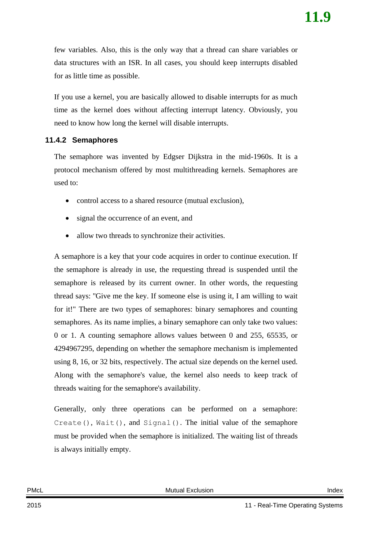few variables. Also, this is the only way that a thread can share variables or data structures with an ISR. In all cases, you should keep interrupts disabled for as little time as possible.

If you use a kernel, you are basically allowed to disable interrupts for as much time as the kernel does without affecting interrupt latency. Obviously, you need to know how long the kernel will disable interrupts.

#### <span id="page-8-0"></span>**11.4.2 Semaphores**

The semaphore was invented by Edgser Dijkstra in the mid-1960s. It is a protocol mechanism offered by most multithreading kernels. Semaphores are used to:

- control access to a shared resource (mutual exclusion).
- signal the occurrence of an event, and
- allow two threads to synchronize their activities.

A semaphore is a key that your code acquires in order to continue execution. If the semaphore is already in use, the requesting thread is suspended until the semaphore is released by its current owner. In other words, the requesting thread says: ''Give me the key. If someone else is using it, I am willing to wait for it!" There are two types of semaphores: binary semaphores and counting semaphores. As its name implies, a binary semaphore can only take two values: 0 or 1. A counting semaphore allows values between 0 and 255, 65535, or 4294967295, depending on whether the semaphore mechanism is implemented using 8, 16, or 32 bits, respectively. The actual size depends on the kernel used. Along with the semaphore's value, the kernel also needs to keep track of threads waiting for the semaphore's availability.

Generally, only three operations can be performed on a semaphore: Create(),  $Wait()$ , and  $Signal()$ . The initial value of the semaphore must be provided when the semaphore is initialized. The waiting list of threads is always initially empty.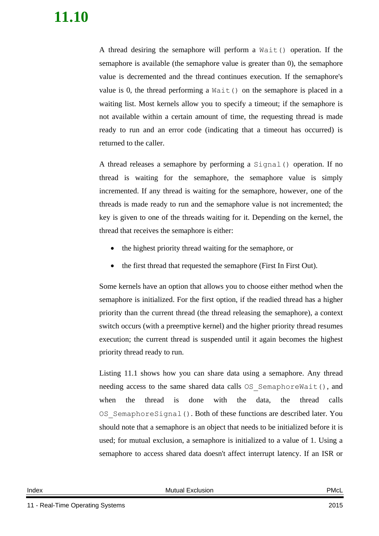A thread desiring the semaphore will perform a Wait() operation. If the semaphore is available (the semaphore value is greater than 0), the semaphore value is decremented and the thread continues execution. If the semaphore's value is 0, the thread performing a  $Wait()$  on the semaphore is placed in a waiting list. Most kernels allow you to specify a timeout; if the semaphore is not available within a certain amount of time, the requesting thread is made ready to run and an error code (indicating that a timeout has occurred) is returned to the caller.

A thread releases a semaphore by performing a Signal() operation. If no thread is waiting for the semaphore, the semaphore value is simply incremented. If any thread is waiting for the semaphore, however, one of the threads is made ready to run and the semaphore value is not incremented; the key is given to one of the threads waiting for it. Depending on the kernel, the thread that receives the semaphore is either:

- the highest priority thread waiting for the semaphore, or
- the first thread that requested the semaphore (First In First Out).

Some kernels have an option that allows you to choose either method when the semaphore is initialized. For the first option, if the readied thread has a higher priority than the current thread (the thread releasing the semaphore), a context switch occurs (with a preemptive kernel) and the higher priority thread resumes execution; the current thread is suspended until it again becomes the highest priority thread ready to run.

[Listing 11.1](#page-10-0) shows how you can share data using a semaphore. Any thread needing access to the same shared data calls OS\_SemaphoreWait(), and when the thread is done with the data, the thread calls OS SemaphoreSignal(). Both of these functions are described later. You should note that a semaphore is an object that needs to be initialized before it is used; for mutual exclusion, a semaphore is initialized to a value of 1. Using a semaphore to access shared data doesn't affect interrupt latency. If an ISR or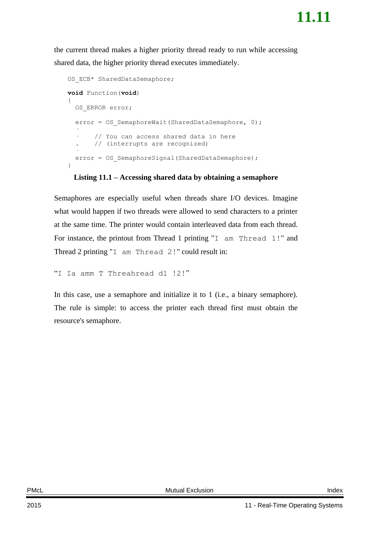the current thread makes a higher priority thread ready to run while accessing shared data, the higher priority thread executes immediately.

```
OS ECB* SharedDataSemaphore;
void Function(void)
{
 OS ERROR error;
  error = OS SemaphoreWait(SharedDataSemaphore, 0);
 ·
        · // You can access shared data in here
        . // (interrupts are recognized)
 ·
  error = OS SemaphoreSignal(SharedDataSemaphore);
}
```
#### **Listing 11.1 – Accessing shared data by obtaining a semaphore**

<span id="page-10-0"></span>Semaphores are especially useful when threads share I/O devices. Imagine what would happen if two threads were allowed to send characters to a printer at the same time. The printer would contain interleaved data from each thread. For instance, the printout from Thread 1 printing "I am Thread 1!" and Thread 2 printing "I am Thread 2!" could result in:

```
"I Ia amm T Threahread d1 !2!"
```
In this case, use a semaphore and initialize it to 1 (i.e., a binary semaphore). The rule is simple: to access the printer each thread first must obtain the resource's semaphore.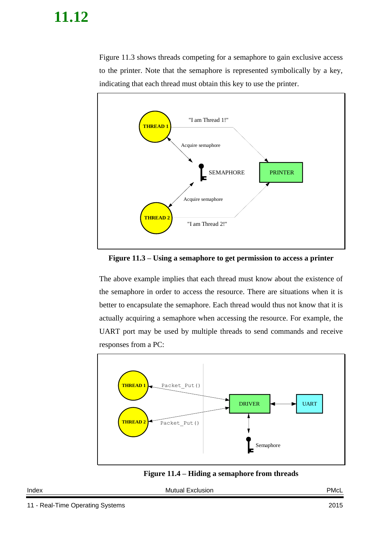[Figure 11.3](#page-11-0) shows threads competing for a semaphore to gain exclusive access to the printer. Note that the semaphore is represented symbolically by a key, indicating that each thread must obtain this key to use the printer.



<span id="page-11-0"></span>**Figure 11.3 – Using a semaphore to get permission to access a printer**

The above example implies that each thread must know about the existence of the semaphore in order to access the resource. There are situations when it is better to encapsulate the semaphore. Each thread would thus not know that it is actually acquiring a semaphore when accessing the resource. For example, the UART port may be used by multiple threads to send commands and receive responses from a PC:





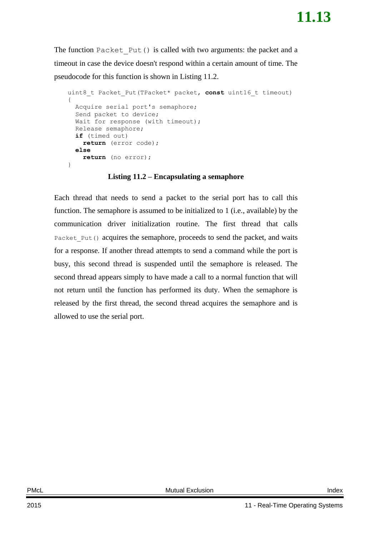The function Packet Put () is called with two arguments: the packet and a timeout in case the device doesn't respond within a certain amount of time. The pseudocode for this function is shown in [Listing 11.2.](#page-12-0)

```
uint8 t Packet Put(TPacket* packet, const uint16 t timeout)
{
  Acquire serial port's semaphore;
   Send packet to device;
  Wait for response (with timeout);
   Release semaphore;
   if (timed out)
     return (error code);
  else
     return (no error);
}
```
#### **Listing 11.2 – Encapsulating a semaphore**

<span id="page-12-0"></span>Each thread that needs to send a packet to the serial port has to call this function. The semaphore is assumed to be initialized to 1 (i.e., available) by the communication driver initialization routine. The first thread that calls Packet Put() acquires the semaphore, proceeds to send the packet, and waits for a response. If another thread attempts to send a command while the port is busy, this second thread is suspended until the semaphore is released. The second thread appears simply to have made a call to a normal function that will not return until the function has performed its duty. When the semaphore is released by the first thread, the second thread acquires the semaphore and is allowed to use the serial port.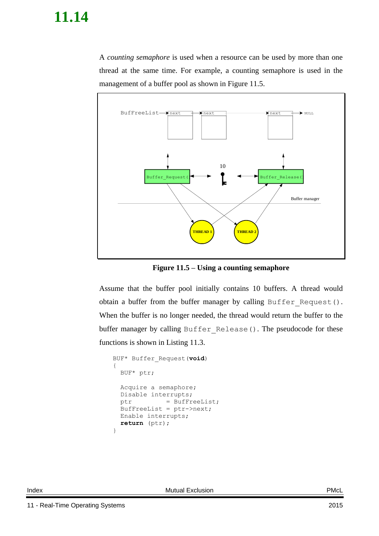A *counting semaphore* is used when a resource can be used by more than one thread at the same time. For example, a counting semaphore is used in the management of a buffer pool as shown in [Figure 11.5.](#page-13-0)



**Figure 11.5 – Using a counting semaphore**

<span id="page-13-0"></span>Assume that the buffer pool initially contains 10 buffers. A thread would obtain a buffer from the buffer manager by calling Buffer\_Request(). When the buffer is no longer needed, the thread would return the buffer to the buffer manager by calling Buffer\_Release(). The pseudocode for these functions is shown in [Listing 11.3.](#page-14-1)

```
BUF* Buffer_Request(void)
{
 BUF* ptr;
  Acquire a semaphore;
  Disable interrupts;
  ptr = BufFreeList;
  BufFreeList = ptr->next;
 Enable interrupts;
  return (ptr);
}
```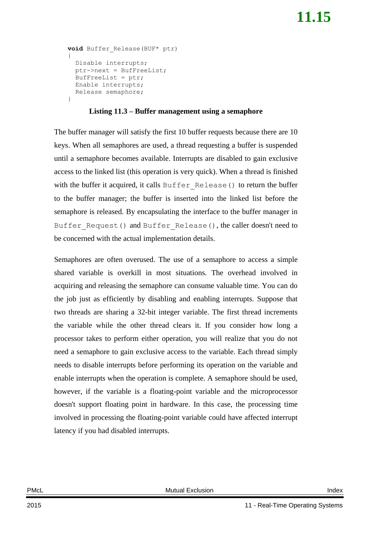```
void Buffer_Release(BUF* ptr)
{
   Disable interrupts;
   ptr->next = BufFreeList;
   BufFreeList = ptr;
   Enable interrupts;
   Release semaphore;
}
```
### **Listing 11.3 – Buffer management using a semaphore**

<span id="page-14-1"></span>The buffer manager will satisfy the first 10 buffer requests because there are 10 keys. When all semaphores are used, a thread requesting a buffer is suspended until a semaphore becomes available. Interrupts are disabled to gain exclusive access to the linked list (this operation is very quick). When a thread is finished with the buffer it acquired, it calls Buffer\_Release() to return the buffer to the buffer manager; the buffer is inserted into the linked list before the semaphore is released. By encapsulating the interface to the buffer manager in Buffer Request() and Buffer Release(), the caller doesn't need to be concerned with the actual implementation details.

<span id="page-14-0"></span>Semaphores are often overused. The use of a semaphore to access a simple shared variable is overkill in most situations. The overhead involved in acquiring and releasing the semaphore can consume valuable time. You can do the job just as efficiently by disabling and enabling interrupts. Suppose that two threads are sharing a 32-bit integer variable. The first thread increments the variable while the other thread clears it. If you consider how long a processor takes to perform either operation, you will realize that you do not need a semaphore to gain exclusive access to the variable. Each thread simply needs to disable interrupts before performing its operation on the variable and enable interrupts when the operation is complete. A semaphore should be used, however, if the variable is a floating-point variable and the microprocessor doesn't support floating point in hardware. In this case, the processing time involved in processing the floating-point variable could have affected interrupt latency if you had disabled interrupts.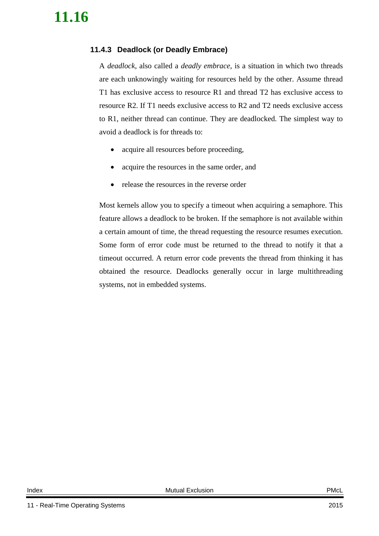### **11.4.3 Deadlock (or Deadly Embrace)**

A *deadlock*, also called a *deadly embrace*, is a situation in which two threads are each unknowingly waiting for resources held by the other. Assume thread T1 has exclusive access to resource R1 and thread T2 has exclusive access to resource R2. If T1 needs exclusive access to R2 and T2 needs exclusive access to R1, neither thread can continue. They are deadlocked. The simplest way to avoid a deadlock is for threads to:

- acquire all resources before proceeding,
- acquire the resources in the same order, and
- release the resources in the reverse order

Most kernels allow you to specify a timeout when acquiring a semaphore. This feature allows a deadlock to be broken. If the semaphore is not available within a certain amount of time, the thread requesting the resource resumes execution. Some form of error code must be returned to the thread to notify it that a timeout occurred. A return error code prevents the thread from thinking it has obtained the resource. Deadlocks generally occur in large multithreading systems, not in embedded systems.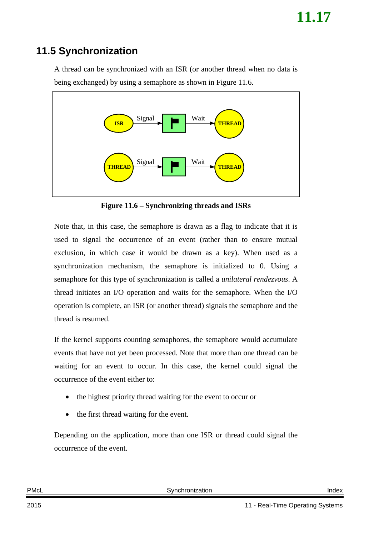## <span id="page-16-0"></span>**11.5 Synchronization**

A thread can be synchronized with an ISR (or another thread when no data is being exchanged) by using a semaphore as shown in [Figure 11.6.](#page-16-1)



**Figure 11.6 – Synchronizing threads and ISRs**

<span id="page-16-1"></span>Note that, in this case, the semaphore is drawn as a flag to indicate that it is used to signal the occurrence of an event (rather than to ensure mutual exclusion, in which case it would be drawn as a key). When used as a synchronization mechanism, the semaphore is initialized to 0. Using a semaphore for this type of synchronization is called a *unilateral rendezvous*. A thread initiates an I/O operation and waits for the semaphore. When the I/O operation is complete, an ISR (or another thread) signals the semaphore and the thread is resumed.

If the kernel supports counting semaphores, the semaphore would accumulate events that have not yet been processed. Note that more than one thread can be waiting for an event to occur. In this case, the kernel could signal the occurrence of the event either to:

- the highest priority thread waiting for the event to occur or
- the first thread waiting for the event.

Depending on the application, more than one ISR or thread could signal the occurrence of the event.

PMcL **CONFIDENTIAL Synchronization** CONFIDENTIAL Synchronization **Index**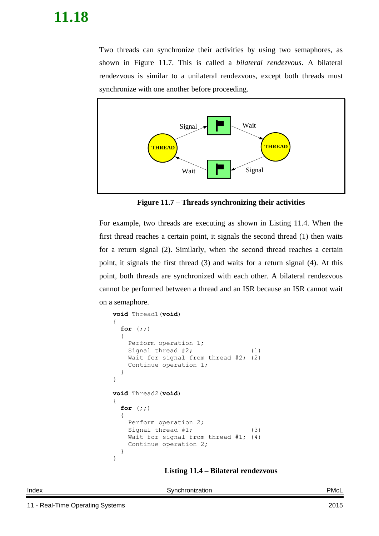Two threads can synchronize their activities by using two semaphores, as shown in [Figure 11.7.](#page-17-0) This is called a *bilateral rendezvous*. A bilateral rendezvous is similar to a unilateral rendezvous, except both threads must synchronize with one another before proceeding.



**Figure 11.7 – Threads synchronizing their activities**

<span id="page-17-0"></span>For example, two threads are executing as shown in [Listing 11.4.](#page-17-1) When the first thread reaches a certain point, it signals the second thread (1) then waits for a return signal (2). Similarly, when the second thread reaches a certain point, it signals the first thread (3) and waits for a return signal (4). At this point, both threads are synchronized with each other. A bilateral rendezvous cannot be performed between a thread and an ISR because an ISR cannot wait on a semaphore.

```
void Thread1(void)
{
  for (;;)
  {
    Perform operation 1;
   Signal thread #2; (1)
   Wait for signal from thread #2; (2)
    Continue operation 1;
  }
}
void Thread2(void)
{
  for (;;)
   {
    Perform operation 2;
   Signal thread #1; (3)
   Wait for signal from thread #1; (4)
    Continue operation 2;
   }
}
```
#### <span id="page-17-1"></span>**Listing 11.4 – Bilateral rendezvous**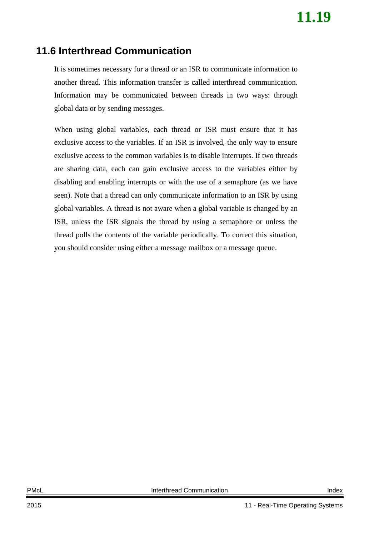### <span id="page-18-0"></span>**11.6 Interthread Communication**

It is sometimes necessary for a thread or an ISR to communicate information to another thread. This information transfer is called interthread communication. Information may be communicated between threads in two ways: through global data or by sending messages.

When using global variables, each thread or ISR must ensure that it has exclusive access to the variables. If an ISR is involved, the only way to ensure exclusive access to the common variables is to disable interrupts. If two threads are sharing data, each can gain exclusive access to the variables either by disabling and enabling interrupts or with the use of a semaphore (as we have seen). Note that a thread can only communicate information to an ISR by using global variables. A thread is not aware when a global variable is changed by an ISR, unless the ISR signals the thread by using a semaphore or unless the thread polls the contents of the variable periodically. To correct this situation, you should consider using either a message mailbox or a message queue.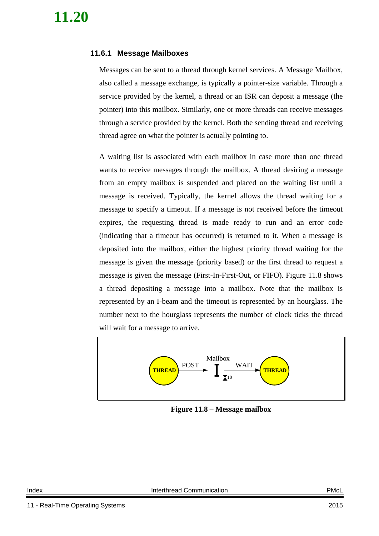### <span id="page-19-0"></span>**11.6.1 Message Mailboxes**

Messages can be sent to a thread through kernel services. A Message Mailbox, also called a message exchange, is typically a pointer-size variable. Through a service provided by the kernel, a thread or an ISR can deposit a message (the pointer) into this mailbox. Similarly, one or more threads can receive messages through a service provided by the kernel. Both the sending thread and receiving thread agree on what the pointer is actually pointing to.

A waiting list is associated with each mailbox in case more than one thread wants to receive messages through the mailbox. A thread desiring a message from an empty mailbox is suspended and placed on the waiting list until a message is received. Typically, the kernel allows the thread waiting for a message to specify a timeout. If a message is not received before the timeout expires, the requesting thread is made ready to run and an error code (indicating that a timeout has occurred) is returned to it. When a message is deposited into the mailbox, either the highest priority thread waiting for the message is given the message (priority based) or the first thread to request a message is given the message (First-In-First-Out, or FIFO). [Figure 11.8](#page-19-1) shows a thread depositing a message into a mailbox. Note that the mailbox is represented by an I-beam and the timeout is represented by an hourglass. The number next to the hourglass represents the number of clock ticks the thread will wait for a message to arrive.

<span id="page-19-1"></span>

**Figure 11.8 – Message mailbox**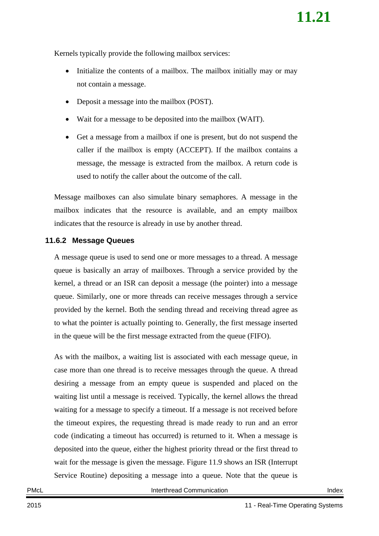Kernels typically provide the following mailbox services:

- Initialize the contents of a mailbox. The mailbox initially may or may not contain a message.
- Deposit a message into the mailbox (POST).
- Wait for a message to be deposited into the mailbox (WAIT).
- Get a message from a mailbox if one is present, but do not suspend the caller if the mailbox is empty (ACCEPT). If the mailbox contains a message, the message is extracted from the mailbox. A return code is used to notify the caller about the outcome of the call.

Message mailboxes can also simulate binary semaphores. A message in the mailbox indicates that the resource is available, and an empty mailbox indicates that the resource is already in use by another thread.

### <span id="page-20-0"></span>**11.6.2 Message Queues**

A message queue is used to send one or more messages to a thread. A message queue is basically an array of mailboxes. Through a service provided by the kernel, a thread or an ISR can deposit a message (the pointer) into a message queue. Similarly, one or more threads can receive messages through a service provided by the kernel. Both the sending thread and receiving thread agree as to what the pointer is actually pointing to. Generally, the first message inserted in the queue will be the first message extracted from the queue (FIFO).

As with the mailbox, a waiting list is associated with each message queue, in case more than one thread is to receive messages through the queue. A thread desiring a message from an empty queue is suspended and placed on the waiting list until a message is received. Typically, the kernel allows the thread waiting for a message to specify a timeout. If a message is not received before the timeout expires, the requesting thread is made ready to run and an error code (indicating a timeout has occurred) is returned to it. When a message is deposited into the queue, either the highest priority thread or the first thread to wait for the message is given the message. [Figure 11.9](#page-21-0) shows an ISR (Interrupt Service Routine) depositing a message into a queue. Note that the queue is

PMcL **Interthread Communication** Interthread Communication **Index**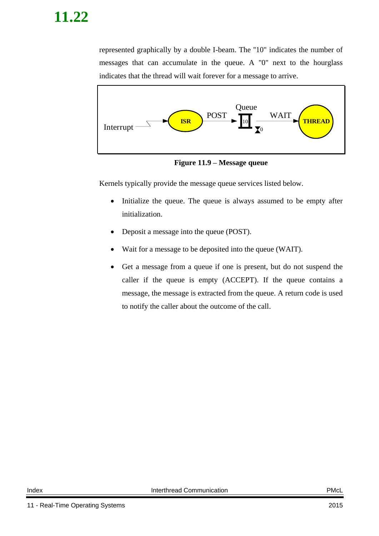represented graphically by a double I-beam. The ''10" indicates the number of messages that can accumulate in the queue. A "0" next to the hourglass indicates that the thread will wait forever for a message to arrive.



**Figure 11.9 – Message queue**

<span id="page-21-0"></span>Kernels typically provide the message queue services listed below.

- Initialize the queue. The queue is always assumed to be empty after initialization.
- Deposit a message into the queue (POST).
- Wait for a message to be deposited into the queue (WAIT).
- Get a message from a queue if one is present, but do not suspend the caller if the queue is empty (ACCEPT). If the queue contains a message, the message is extracted from the queue. A return code is used to notify the caller about the outcome of the call.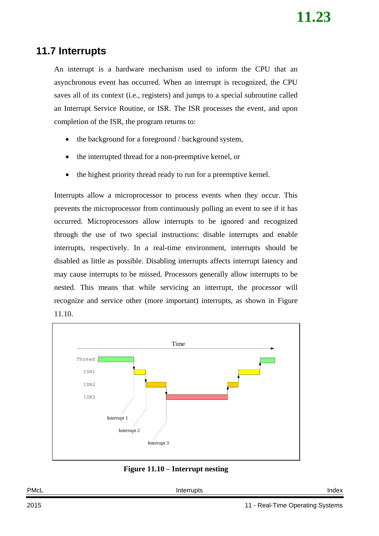## <span id="page-22-0"></span>**11.7 Interrupts**

An interrupt is a hardware mechanism used to inform the CPU that an asynchronous event has occurred. When an interrupt is recognized, the CPU saves all of its context (i.e., registers) and jumps to a special subroutine called an Interrupt Service Routine, or ISR. The ISR processes the event, and upon completion of the ISR, the program returns to:

- the background for a foreground / background system,
- the interrupted thread for a non-preemptive kernel, or
- the highest priority thread ready to run for a preemptive kernel.

Interrupts allow a microprocessor to process events when they occur. This prevents the microprocessor from continuously polling an event to see if it has occurred. Microprocessors allow interrupts to be ignored and recognized through the use of two special instructions: disable interrupts and enable interrupts, respectively. In a real-time environment, interrupts should be disabled as little as possible. Disabling interrupts affects interrupt latency and may cause interrupts to be missed. Processors generally allow interrupts to be nested. This means that while servicing an interrupt, the processor will recognize and service other (more important) interrupts, as shown in [Figure](#page-22-1)  [11.10.](#page-22-1)



**Figure 11.10 – Interrupt nesting**

<span id="page-22-1"></span>

| PMcL | terrunts | าdex |
|------|----------|------|
|      |          |      |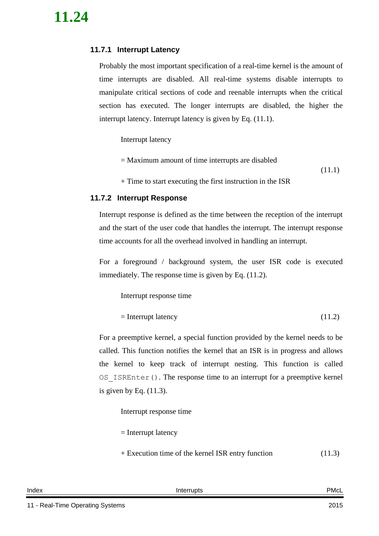### <span id="page-23-0"></span>**11.7.1 Interrupt Latency**

Probably the most important specification of a real-time kernel is the amount of time interrupts are disabled. All real-time systems disable interrupts to manipulate critical sections of code and reenable interrupts when the critical section has executed. The longer interrupts are disabled, the higher the interrupt latency. Interrupt latency is given by Eq. [\(11.1\).](#page-23-2)

Interrupt latency

= Maximum amount of time interrupts are disabled (11.1)

<span id="page-23-2"></span>+ Time to start executing the first instruction in the ISR

### <span id="page-23-1"></span>**11.7.2 Interrupt Response**

Interrupt response is defined as the time between the reception of the interrupt and the start of the user code that handles the interrupt. The interrupt response time accounts for all the overhead involved in handling an interrupt.

For a foreground / background system, the user ISR code is executed immediately. The response time is given by Eq. [\(11.2\).](#page-23-3)

Interrupt response time

```
= Interrupt latency (11.2)
```
For a preemptive kernel, a special function provided by the kernel needs to be called. This function notifies the kernel that an ISR is in progress and allows the kernel to keep track of interrupt nesting. This function is called OS\_ISREnter(). The response time to an interrupt for a preemptive kernel is given by Eq.  $(11.3)$ .

Interrupt response time

= Interrupt latency

<span id="page-23-4"></span>+ Execution time of the kernel ISR entry function (11.3)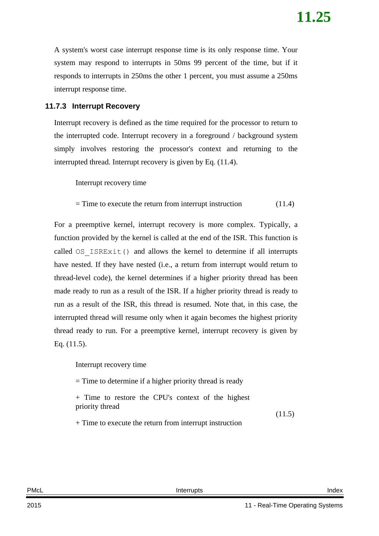A system's worst case interrupt response time is its only response time. Your system may respond to interrupts in 50ms 99 percent of the time, but if it responds to interrupts in 250ms the other 1 percent, you must assume a 250ms interrupt response time.

### <span id="page-24-0"></span>**11.7.3 Interrupt Recovery**

Interrupt recovery is defined as the time required for the processor to return to the interrupted code. Interrupt recovery in a foreground / background system simply involves restoring the processor's context and returning to the interrupted thread. Interrupt recovery is given by Eq. [\(11.4\).](#page-24-2)

Interrupt recovery time

<span id="page-24-2"></span> $=$  Time to execute the return from interrupt instruction  $(11.4)$ 

For a preemptive kernel, interrupt recovery is more complex. Typically, a function provided by the kernel is called at the end of the ISR. This function is called  $OS$  ISRExit() and allows the kernel to determine if all interrupts have nested. If they have nested (i.e., a return from interrupt would return to thread-level code), the kernel determines if a higher priority thread has been made ready to run as a result of the ISR. If a higher priority thread is ready to run as a result of the ISR, this thread is resumed. Note that, in this case, the interrupted thread will resume only when it again becomes the highest priority thread ready to run. For a preemptive kernel, interrupt recovery is given by Eq. [\(11.5\).](#page-24-3)

Interrupt recovery time

= Time to determine if a higher priority thread is ready

+ Time to restore the CPU's context of the highest priority thread

<span id="page-24-3"></span>(11.5)

<span id="page-24-1"></span>+ Time to execute the return from interrupt instruction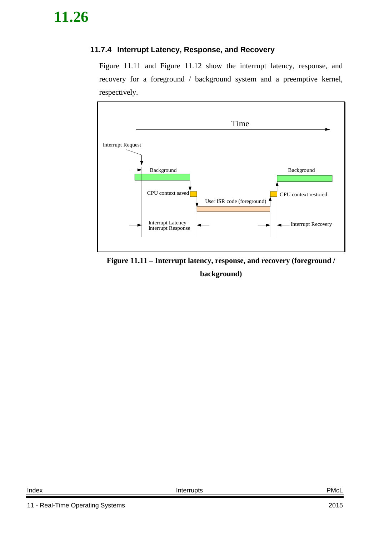### **11.7.4 Interrupt Latency, Response, and Recovery**

[Figure 11.11](#page-25-0) and [Figure 11.12](#page-26-1) show the interrupt latency, response, and recovery for a foreground / background system and a preemptive kernel, respectively.



<span id="page-25-0"></span>**Figure 11.11 – Interrupt latency, response, and recovery (foreground / background)**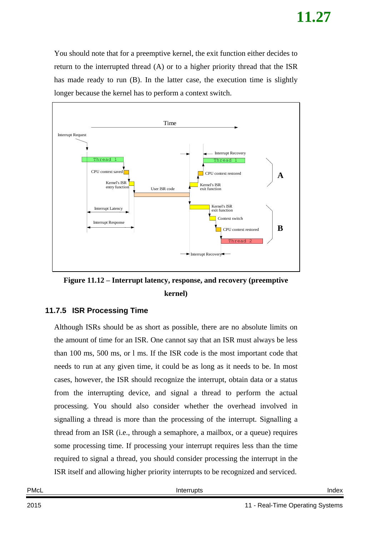You should note that for a preemptive kernel, the exit function either decides to return to the interrupted thread (A) or to a higher priority thread that the ISR has made ready to run (B). In the latter case, the execution time is slightly longer because the kernel has to perform a context switch.



<span id="page-26-1"></span>**Figure 11.12 – Interrupt latency, response, and recovery (preemptive kernel)**

### <span id="page-26-0"></span>**11.7.5 ISR Processing Time**

Although ISRs should be as short as possible, there are no absolute limits on the amount of time for an ISR. One cannot say that an ISR must always be less than 100 ms, 500 ms, or l ms. If the ISR code is the most important code that needs to run at any given time, it could be as long as it needs to be. In most cases, however, the ISR should recognize the interrupt, obtain data or a status from the interrupting device, and signal a thread to perform the actual processing. You should also consider whether the overhead involved in signalling a thread is more than the processing of the interrupt. Signalling a thread from an ISR (i.e., through a semaphore, a mailbox, or a queue) requires some processing time. If processing your interrupt requires less than the time required to signal a thread, you should consider processing the interrupt in the ISR itself and allowing higher priority interrupts to be recognized and serviced.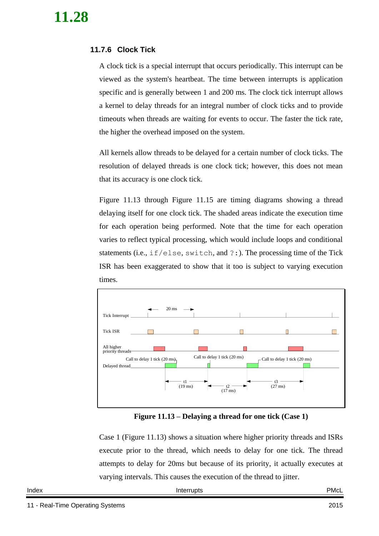### <span id="page-27-0"></span>**11.7.6 Clock Tick**

A clock tick is a special interrupt that occurs periodically. This interrupt can be viewed as the system's heartbeat. The time between interrupts is application specific and is generally between 1 and 200 ms. The clock tick interrupt allows a kernel to delay threads for an integral number of clock ticks and to provide timeouts when threads are waiting for events to occur. The faster the tick rate, the higher the overhead imposed on the system.

All kernels allow threads to be delayed for a certain number of clock ticks. The resolution of delayed threads is one clock tick; however, this does not mean that its accuracy is one clock tick.

[Figure 11.13](#page-27-1) through [Figure 11.15](#page-28-0) are timing diagrams showing a thread delaying itself for one clock tick. The shaded areas indicate the execution time for each operation being performed. Note that the time for each operation varies to reflect typical processing, which would include loops and conditional statements (i.e., if/else, switch, and ?:). The processing time of the Tick ISR has been exaggerated to show that it too is subject to varying execution times.



**Figure 11.13 – Delaying a thread for one tick (Case 1)**

<span id="page-27-1"></span>Case 1 [\(Figure 11.13\)](#page-27-1) shows a situation where higher priority threads and ISRs execute prior to the thread, which needs to delay for one tick. The thread attempts to delay for 20ms but because of its priority, it actually executes at varying intervals. This causes the execution of the thread to jitter.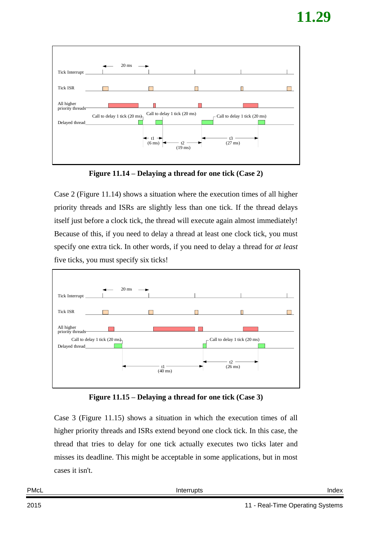

**Figure 11.14 – Delaying a thread for one tick (Case 2)**

<span id="page-28-1"></span>Case 2 [\(Figure 11.14\)](#page-28-1) shows a situation where the execution times of all higher priority threads and ISRs are slightly less than one tick. If the thread delays itself just before a clock tick, the thread will execute again almost immediately! Because of this, if you need to delay a thread at least one clock tick, you must specify one extra tick. In other words, if you need to delay a thread for *at least* five ticks, you must specify six ticks!



**Figure 11.15 – Delaying a thread for one tick (Case 3)**

<span id="page-28-0"></span>Case 3 [\(Figure 11.15\)](#page-28-0) shows a situation in which the execution times of all higher priority threads and ISRs extend beyond one clock tick. In this case, the thread that tries to delay for one tick actually executes two ticks later and misses its deadline. This might be acceptable in some applications, but in most cases it isn't.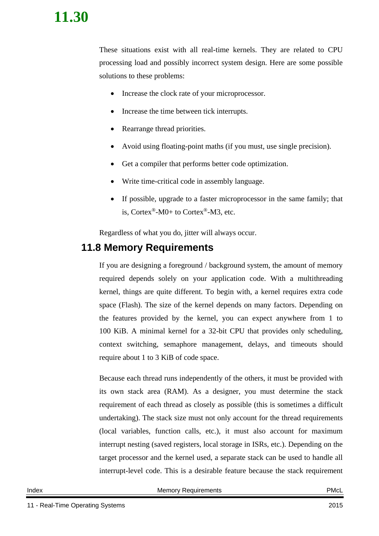These situations exist with all real-time kernels. They are related to CPU processing load and possibly incorrect system design. Here are some possible solutions to these problems:

- Increase the clock rate of your microprocessor.
- Increase the time between tick interrupts.
- Rearrange thread priorities.
- Avoid using floating-point maths (if you must, use single precision).
- Get a compiler that performs better code optimization.
- Write time-critical code in assembly language.
- If possible, upgrade to a faster microprocessor in the same family; that is, Cortex<sup>®</sup>-M0+ to Cortex<sup>®</sup>-M3, etc.

Regardless of what you do, jitter will always occur.

### <span id="page-29-0"></span>**11.8 Memory Requirements**

If you are designing a foreground / background system, the amount of memory required depends solely on your application code. With a multithreading kernel, things are quite different. To begin with, a kernel requires extra code space (Flash). The size of the kernel depends on many factors. Depending on the features provided by the kernel, you can expect anywhere from 1 to 100 KiB. A minimal kernel for a 32-bit CPU that provides only scheduling, context switching, semaphore management, delays, and timeouts should require about 1 to 3 KiB of code space.

Because each thread runs independently of the others, it must be provided with its own stack area (RAM). As a designer, you must determine the stack requirement of each thread as closely as possible (this is sometimes a difficult undertaking). The stack size must not only account for the thread requirements (local variables, function calls, etc.), it must also account for maximum interrupt nesting (saved registers, local storage in ISRs, etc.). Depending on the target processor and the kernel used, a separate stack can be used to handle all interrupt-level code. This is a desirable feature because the stack requirement

Index **Memory Requirements** PMcL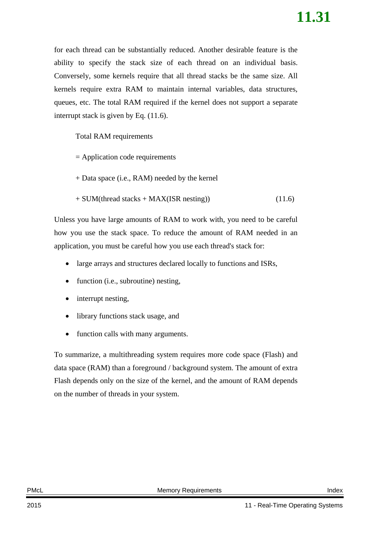for each thread can be substantially reduced. Another desirable feature is the ability to specify the stack size of each thread on an individual basis. Conversely, some kernels require that all thread stacks be the same size. All kernels require extra RAM to maintain internal variables, data structures, queues, etc. The total RAM required if the kernel does not support a separate interrupt stack is given by Eq. [\(11.6\).](#page-30-1)

Total RAM requirements

- = Application code requirements
- + Data space (i.e., RAM) needed by the kernel
- <span id="page-30-1"></span> $+$  SUM(thread stacks  $+$  MAX(ISR nesting)) (11.6)

Unless you have large amounts of RAM to work with, you need to be careful how you use the stack space. To reduce the amount of RAM needed in an application, you must be careful how you use each thread's stack for:

- large arrays and structures declared locally to functions and ISRs,
- function (i.e., subroutine) nesting,
- interrupt nesting,
- library functions stack usage, and
- function calls with many arguments.

<span id="page-30-0"></span>To summarize, a multithreading system requires more code space (Flash) and data space (RAM) than a foreground / background system. The amount of extra Flash depends only on the size of the kernel, and the amount of RAM depends on the number of threads in your system.